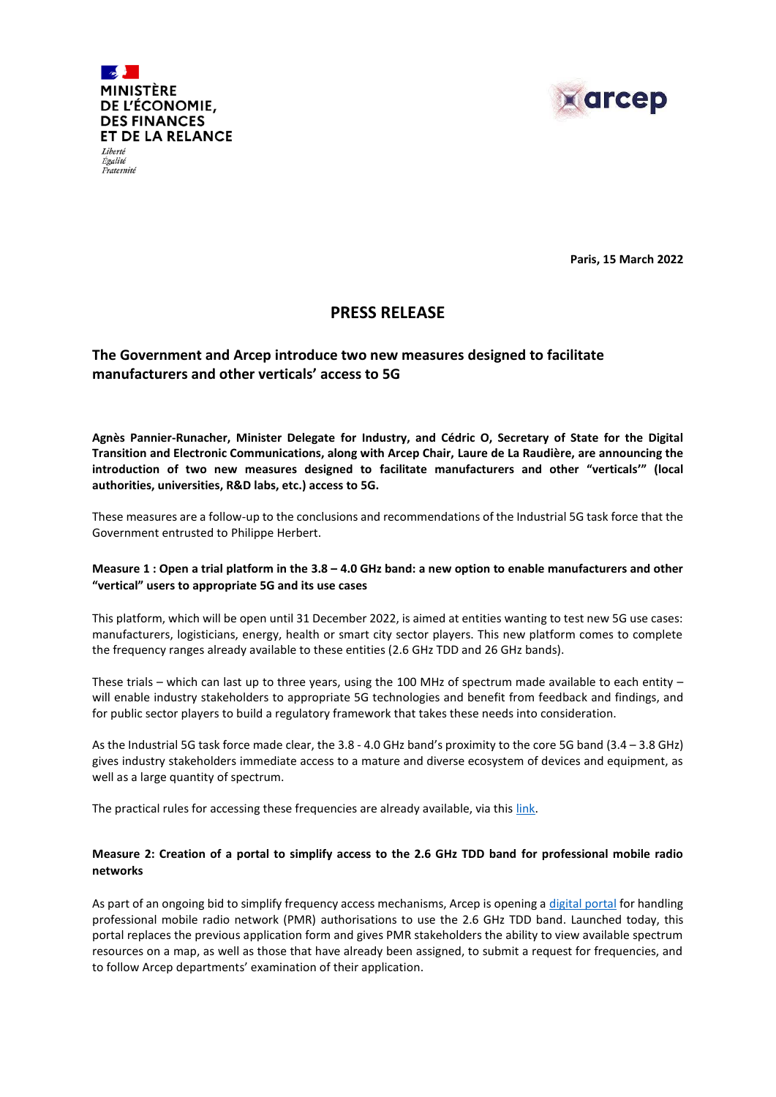



**Paris, 15 March 2022**

# **PRESS RELEASE**

## **The Government and Arcep introduce two new measures designed to facilitate manufacturers and other verticals' access to 5G**

**Agnès Pannier-Runacher, Minister Delegate for Industry, and Cédric O, Secretary of State for the Digital Transition and Electronic Communications, along with Arcep Chair, Laure de La Raudière, are announcing the introduction of two new measures designed to facilitate manufacturers and other "verticals'" (local authorities, universities, R&D labs, etc.) access to 5G.**

These measures are a follow-up to the conclusions and recommendations of the Industrial 5G task force that the Government entrusted to Philippe Herbert.

#### **Measure 1 : Open a trial platform in the 3.8 – 4.0 GHz band: a new option to enable manufacturers and other "vertical" users to appropriate 5G and its use cases**

This platform, which will be open until 31 December 2022, is aimed at entities wanting to test new 5G use cases: manufacturers, logisticians, energy, health or smart city sector players. This new platform comes to complete the frequency ranges already available to these entities (2.6 GHz TDD and 26 GHz bands).

These trials – which can last up to three years, using the 100 MHz of spectrum made available to each entity – will enable industry stakeholders to appropriate 5G technologies and benefit from feedback and findings, and for public sector players to build a regulatory framework that takes these needs into consideration.

As the Industrial 5G task force made clear, the 3.8 - 4.0 GHz band's proximity to the core 5G band (3.4 – 3.8 GHz) gives industry stakeholders immediate access to a mature and diverse ecosystem of devices and equipment, as well as a large quantity of spectrum.

The practical rules for accessing these frequencies are already available, via this [link](https://www.arcep.fr/demarches-et-services/professionnels/transformation-numerique-des-entreprises/plateformes-experimentation-5g-bande-38-40-ghz.html).

### **Measure 2: Creation of a portal to simplify access to the 2.6 GHz TDD band for professional mobile radio networks**

As part of an ongoing bid to simplify frequency access mechanisms, Arcep is opening [a digital](https://dali.arcep.fr/frontend/pmr_2_6/#/view) portal for handling professional mobile radio network (PMR) authorisations to use the 2.6 GHz TDD band. Launched today, this portal replaces the previous application form and gives PMR stakeholders the ability to view available spectrum resources on a map, as well as those that have already been assigned, to submit a request for frequencies, and to follow Arcep departments' examination of their application.